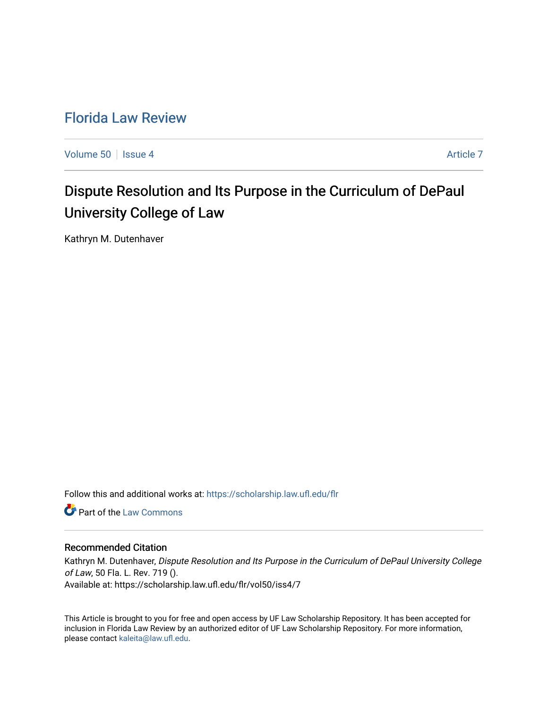## [Florida Law Review](https://scholarship.law.ufl.edu/flr)

[Volume 50](https://scholarship.law.ufl.edu/flr/vol50) | [Issue 4](https://scholarship.law.ufl.edu/flr/vol50/iss4) [Article 7](https://scholarship.law.ufl.edu/flr/vol50/iss4/7) Article 7 Article 7 Article 7 Article 7 Article 7 Article 7

# Dispute Resolution and Its Purpose in the Curriculum of DePaul University College of Law

Kathryn M. Dutenhaver

Follow this and additional works at: [https://scholarship.law.ufl.edu/flr](https://scholarship.law.ufl.edu/flr?utm_source=scholarship.law.ufl.edu%2Fflr%2Fvol50%2Fiss4%2F7&utm_medium=PDF&utm_campaign=PDFCoverPages)

**C** Part of the [Law Commons](http://network.bepress.com/hgg/discipline/578?utm_source=scholarship.law.ufl.edu%2Fflr%2Fvol50%2Fiss4%2F7&utm_medium=PDF&utm_campaign=PDFCoverPages)

### Recommended Citation

Kathryn M. Dutenhaver, Dispute Resolution and Its Purpose in the Curriculum of DePaul University College of Law, 50 Fla. L. Rev. 719 (). Available at: https://scholarship.law.ufl.edu/flr/vol50/iss4/7

This Article is brought to you for free and open access by UF Law Scholarship Repository. It has been accepted for inclusion in Florida Law Review by an authorized editor of UF Law Scholarship Repository. For more information, please contact [kaleita@law.ufl.edu](mailto:kaleita@law.ufl.edu).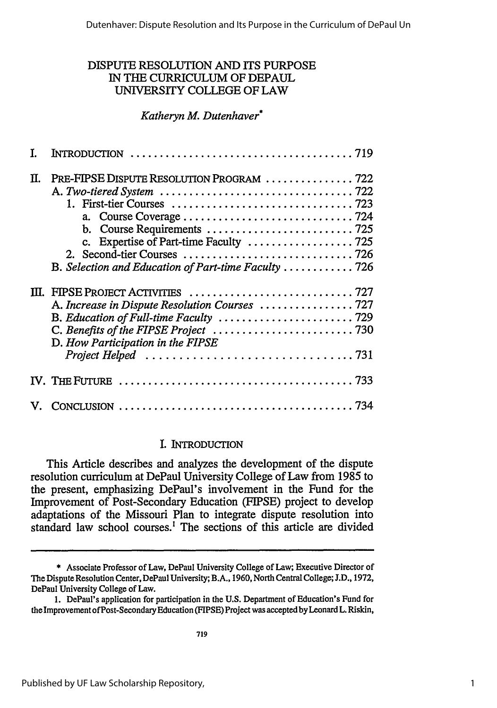### DISPUTE RESOLUTION **AND** ITS **PURPOSE** IN **THE** CURRICULUM OF DEPAUL UNIVERSITY **COLLEGE** OF LAW

### *Katheryn M. Dutenhaver\**

| Π. | PRE-FIPSE DISPUTE RESOLUTION PROGRAM 722<br>c. Expertise of Part-time Faculty 725<br>B. Selection and Education of Part-time Faculty  726 |
|----|-------------------------------------------------------------------------------------------------------------------------------------------|
|    | D. How Participation in the FIPSE                                                                                                         |
|    |                                                                                                                                           |
|    |                                                                                                                                           |

### I. INTRODUCTION

This Article describes and analyzes the development of the dispute resolution curriculum at DePaul University College of Law from 1985 to the present, emphasizing DePaul's involvement in the Fund for the Improvement of Post-Secondary Education (FIPSE) project to develop adaptations of the Missouri Plan to integrate dispute resolution into standard law school courses.' The sections of this article are divided

<sup>\*</sup> Associate Professor of Law, DePaul University College of Law; Executive Director of The Dispute Resolution Center, DePaul University; B.A., 1960, North Central College; J.D., 1972, DePaul University College of Law.

<sup>1.</sup> DePaul's application for participation in the U.S. Department of Education's Fund for the Improvement ofPost-Secondary Education (FIPSE) Project was accepted by Leonard L. Riskin,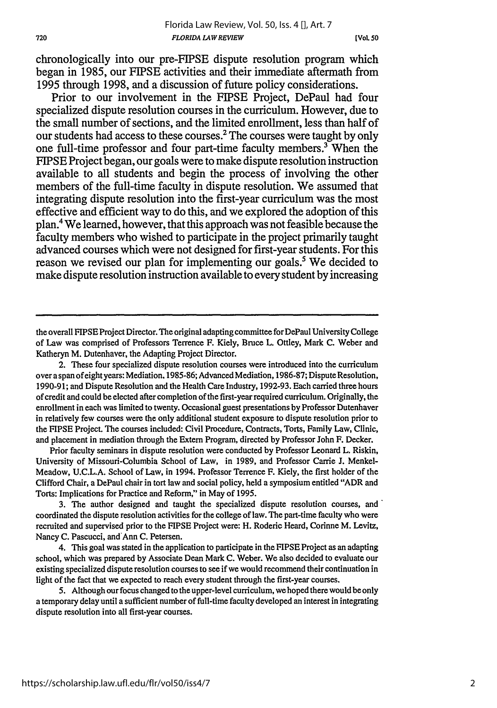chronologically into our pre-FIPSE dispute resolution program which began in 1985, our FIPSE activities and their immediate aftermath from 1995 through 1998, and a discussion of future policy considerations.

Prior to our involvement in the FIPSE Project, DePaul had four specialized dispute resolution courses in the curriculum. However, due to the small number of sections, and the limited enrollment, less than half of our students had access to these courses.<sup>2</sup> The courses were taught by only one full-time professor and four part-time faculty members.' When the FIPSE Project began, our goals were to make dispute resolution instruction available to all students and begin the process of involving the other members of the full-time faculty in dispute resolution. We assumed that integrating dispute resolution into the first-year curriculum was the most effective and efficient way to do this, and we explored the adoption of this plan.4 We learned, however, that this approach was not feasible because the faculty members who wished to participate in the project primarily taught advanced courses which were not designed for first-year students. For this reason we revised our plan for implementing our goals.<sup>5</sup> We decided to make dispute resolution instruction available to every student by increasing

the overall FIPSE Project Director. The original adapting committee for DePaul University College of Law was comprised of Professors Terrence F. Kiely, Bruce L. Ottley, Mark **C.** Weber and Katheryn M. Dutenhaver, the Adapting Project Director.

2. These four specialized dispute resolution courses were introduced into the curriculum over a span of eight years: Mediation. 1985-86; Advanced Mediation, 1986-87; Dispute Resolution, 1990-91; and Dispute Resolution and the Health Care Industry, 1992-93. Each carried three hours of credit and could be elected after completion of the first-year required curriculum. Originally, the enrollment in each was limited to twenty. Occasional guest presentations by Professor Dutenhaver in relatively few courses were the only additional student exposure to dispute resolution prior to the FIPSE Project. The courses included: Civil Procedure, Contracts, Torts, Family Law, Clinic, and placement in mediation through the Extern Program, directed by Professor John F. Decker.

Prior faculty seminars in dispute resolution were conducted by Professor Leonard L. Riskin, University of Missouri-Columbia School of Law, in 1989, and Professor Carrie **J.** Menkel-Meadow, U.C.L.A. School of Law, in 1994. Professor Terrence F. Kiely, the first holder of the Clifford Chair, a DePaul chair in tort law and social policy, held a symposium entitled "ADR and Torts: Implications for Practice and Reform," in May of 1995.

3. The author designed and taught the specialized dispute resolution courses, and' coordinated the dispute resolution activities for the college of law. The part-time faculty who were recruited and supervised prior to the FIPSE Project were: H. Roderic Heard, Corinne M. Levitz, Nancy **C.** Pascucci, and'Ann C. Petersen.

4. This goal was stated in the application to participate in the FIPSE Project as an adapting school, which was prepared by Associate Dean Mark **C.** Weber. We also decided to evaluate our existing specialized dispute resolution courses to see if we would recommend their continuation in light of the fact that we expected to reach every student through the first-year courses.

5. Although our focus changed to the upper-level curriculum, we hoped there would be only a temporary delay until a sufficient number of full-time faculty developed an interest in integrating dispute resolution into all first-year courses.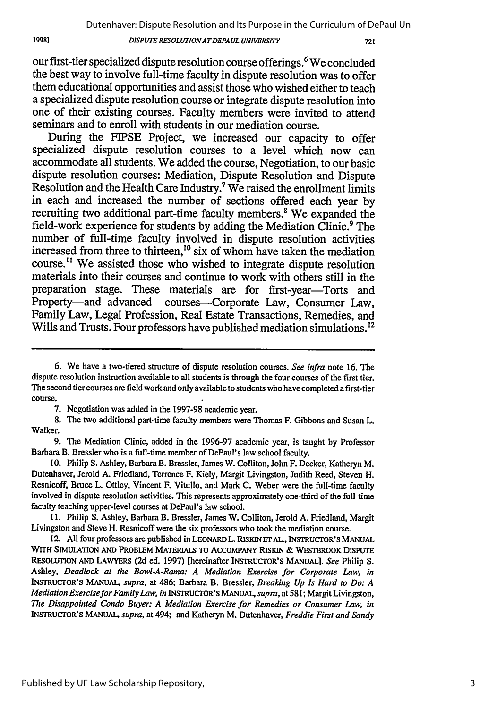#### *DISPUTE RESOLUTIONATDEPA UL UNIVERSITY*

721

our first-tier specialized dispute resolution course offerings.<sup>6</sup> We concluded the best way to involve full-time faculty in dispute resolution was to offer them educational opportunities and assist those who wished either to teach a specialized dispute resolution course or integrate dispute resolution into one of their existing courses. Faculty members were invited to attend seminars and to enroll with students in our mediation course.

During the FIPSE Project, we increased our capacity to offer specialized dispute resolution courses to a level which now can accommodate all students. We added the course, Negotiation, to our basic dispute resolution courses: Mediation, Dispute Resolution and Dispute Resolution and the Health Care Industry.7 We raised the enrollment limits in each and increased the number of sections offered each year **by** recruiting two additional part-time faculty members.<sup>8</sup> We expanded the field-work experience for students **by** adding the Mediation Clinic.9 The number of full-time faculty involved in dispute resolution activities increased from three to thirteen,<sup>10</sup> six of whom have taken the mediation course.<sup>11</sup> We assisted those who wished to integrate dispute resolution materials into their courses and continue to work with others still in the preparation stage. These materials are for first-year-Torts and Property-and advanced courses-Corporate Law, Consumer Law, Family Law, Legal Profession, Real Estate Transactions, Remedies, and Wills and Trusts. Four professors have published mediation simulations.<sup>12</sup>

**8.** The two additional part-time faculty members were Thomas F. Gibbons and Susan L. Walker.

9. The Mediation Clinic, added in the 1996-97 academic year, is taught by Professor Barbara B. Bressler who is a full-time member of DePaul's law school faculty.

10. Philip S. Ashley, Barbara B. Bressler, James W. Colliton, John F. Decker, Katheryn M. Dutenhaver, Jerold A. Friedland, Terrence F. Kiely, Margit Livingston, Judith Reed, Steven H. Resnicoff, Bruce L. Ottley, Vincent F. Vitullo, and Mark **C.** Weber were the full-time faculty involved in dispute resolution activities. This represents approximately one-third of the full-time faculty teaching upper-level courses at DePaul's law school.

**11.** Philip S. Ashley, Barbara B. Bressler, James W. Colliton, Jerold A. Friedland, Margit Livingston and Steve H. Resnicoff were the six professors who took the mediation course.

12. **All** four professors are published in LEONARD L. RISKIN **ET AL.,** INSTRUCrOR'S **MANUAL** WITH **SIMULATION AND** PROBLEM MATERIALS **TO ACCOMPANY RISKIN** & WESTBROOK **DISPUTE RESOLUTION AND** LAWYERS (2d ed. 1997) [hereinafter INSTRUCTOR'S MANUAL]. *See* Philip S. Ashley, *Deadlock at the Bowl-A-Rama: A Mediation Exercise for Corporate Law, in* INSTRUCTOR'S **MANUAL,** *supra,* at 486; Barbara B. Bressler, *Breaking Up Is Hard to Do: A Mediation Exercise for Family Law, in* **INSTRUCTOR'S MANUAL,** *supra,* at 581; Margit Livingston, *The Disappointed Condo Buyer: A Mediation Exercise for Remedies or Consumer Law, in* INSTRUCTOR'S **MANUAL,** *supra,* at 494; and Katheryn M. Dutenhaver, *Freddie First and Sandy*

**<sup>6.</sup>** We have a two-tiered structure of dispute resolution courses. *See infra* note 16. The dispute resolution instruction available to all students is through the four courses of the first tier. The second tier courses are field work and only available to students who have completed a first-tier course.

**<sup>7.</sup>** Negotiation was added in the **1997-98** academic year.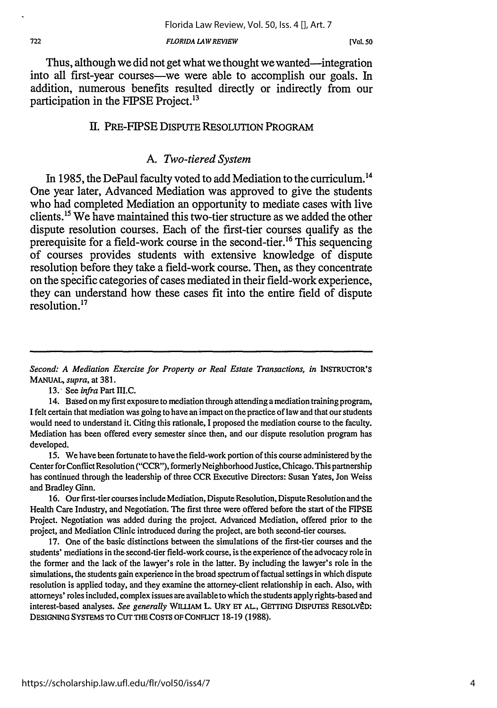Thus, although we did not get what we thought we wanted—integration into all first-year courses-we were able to accomplish our goals. In addition, numerous benefits resulted directly or indirectly from our participation in the FIPSE Project.<sup>13</sup>

### II. PRE-FIPSE DISPUTE RESOLUTION PROGRAM

### *A. Two-tiered System*

In 1985, the DePaul faculty voted to add Mediation to the curriculum.<sup>14</sup> One year later, Advanced Mediation was approved to give the students who had completed Mediation an opportunity to mediate cases with live clients. 15 We have maintained this two-tier structure as we added the other dispute resolution courses. Each of the first-tier courses qualify as the prerequisite for a field-work course in the second-tier.<sup>16</sup> This sequencing of courses provides students with extensive knowledge of dispute resolution before they take a field-work course. Then, as they concentrate on the specific categories of cases mediated in their field-work experience, they can understand how these cases fit into the entire field of dispute resolution."

13. See *infra* Part **III.C.**

14. Based on my first exposure to mediation through attending a mediation training program, I felt certain that mediation was going to have an impact on the practice of law and that our students would need to understand it. Citing this rationale, I proposed the mediation course to the faculty. Mediation has been offered every semester since then, and our dispute resolution program has developed.

15. We have been fortunate to have the field-work portion of this course administered by the Center for Conflict Resolution ("CCR"), formerly Neighborhood Justice, Chicago. This partnership has continued through the leadership of three CCR Executive Directors: Susan Yates, Jon Weiss and Bradley Ginn.

16. Our first-tier courses include Mediation, Dispute Resolution, Dispute Resolution and the Health Care Industry, and Negotiation. The first three were offered before the start of the FIPSE Project. Negotiation was added during the project. Advanced Mediation, offered prior to the project, and Mediation Clinic introduced during the project, are both second-tier courses.

17. One of the basic distinctions between the simulations of the first-tier courses and the students' mediations in the second-tier field-work course, is the experience of the advocacy role in the former and the lack of the lawyer's role in the latter. By including the lawyer's role in the simulations, the students gain experience in the broad spectrum of factual settings in which dispute resolution is applied today, and they examine the attorney-client relationship in each. Also, with attorneys' roles included, complex issues are available to which the students apply rights-based and interest-based analyses. *See generally* WILLIAM L. URY ET AL, GETTING DISPUTES RESOLV2D: DESIGNING **SYSTEMS** TO **CUT** THE COSTS OF CoNFLICr 18-19 **(1988).**

Second: A Mediation Exercise for Property or Real Estate Transactions, in INSTRUCTOR'S **MANUAL,** *supra,* at 381.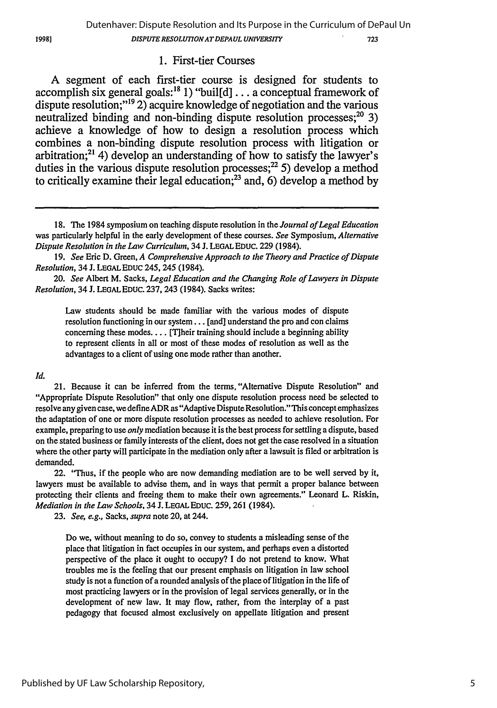#### 1. First-tier Courses

A segment of each first-tier course is designed for students to accomplish six general goals:<sup>18</sup> 1) "buil[d]  $\dots$  a conceptual framework of dispute resolution;"'19 2) acquire knowledge of negotiation and the various neutralized binding and non-binding dispute resolution processes;  $2^0$  3) achieve a knowledge of how to design a resolution process which combines a non-binding dispute resolution process with litigation or arbitration; $^{21}$  4) develop an understanding of how to satisfy the lawyer's duties in the various dispute resolution processes; $^{22}$  5) develop a method to critically examine their legal education;<sup>23</sup> and, 6) develop a method by

*19. See* Eric D. Green, *A Comprehensive Approach to the Theory and Practice of Dispute Resolution,* 34 **J. LEGAL** EDUC 245, 245 (1984).

*20. See* Albert M. Sacks, *Legal Education and the Changing Role of Lawyers in Dispute Resolution,* 34 J. LEGALEDUC. 237, 243 (1984). Sacks writes:

Law students should be made familiar with the various modes of dispute resolution functioning in our system... [and] understand the pro and con claims concerning these modes.... [T]heir training should include a beginning ability to represent clients in all or most of these modes of resolution as well as the advantages to a client of using one mode rather than another.

#### *Id.*

21. Because it can be inferred from the terms, "Alternative Dispute Resolution" and "Appropriate Dispute Resolution" that only one dispute resolution process need be selected to resolve any given case, we define ADR as "Adaptive Dispute Resolution." This concept emphasizes the adaptation of one or more dispute resolution processes as needed to achieve resolution. For example, preparing to use *only* mediation because it is the best process for settling a dispute, based on the stated business or family interests of the client, does not get the case resolved in a situation where the other party will participate in the mediation only after a lawsuit is filed or arbitration is demanded.

22. "Thus, if the people who are now demanding mediation are to be well served by it, lawyers must be available to advise them, and in ways that permit a proper balance between protecting their clients and freeing them to make their own agreements." Leonard L. Riskin, *Mediation in the Law Schools,* 34 J. **LEGAL** EDUC. 259, 261 (1984).

23. *See, e.g.,* Sacks, *supra* note 20, at 244.

Do we, without meaning to do so, convey to students a misleading sense of the place that litigation in fact occupies in our system, and perhaps even a distorted perspective of the place it ought to occupy? I do not pretend to know. What troubles me is the feeling that our present emphasis on litigation in law school study is not a function of a rounded analysis of the place of litigation in the life of most practicing lawyers or in the provision of legal services generally, or in the development of new law. It may flow, rather, from the interplay of a past pedagogy that focused almost exclusively on appellate litigation and present

1998]

<sup>18.</sup> The 1984 symposium on teaching dispute resolution in the *Journal of Legal Education* was particularly helpful in the early development of these courses. *See* Symposium, *Alternative Dispute Resolution in the Law Curriculum,* 34 J. LEGAL EDUC. 229 (1984).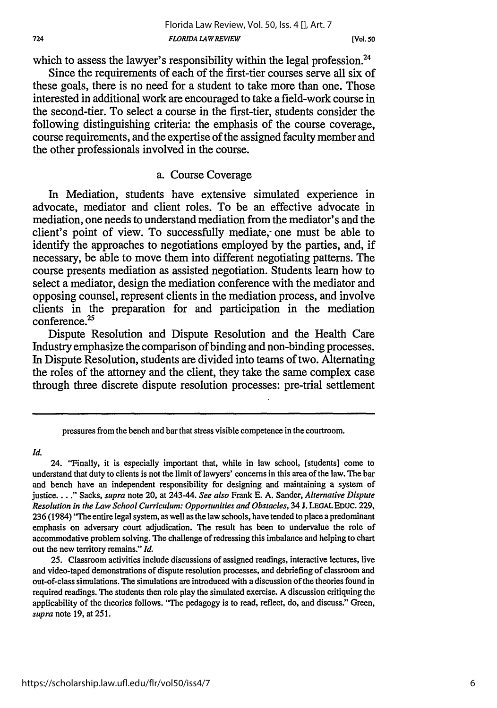which to assess the lawyer's responsibility within the legal profession.<sup>24</sup>

Since the requirements of each of the first-tier courses serve all six of these goals, there is no need for a student to take more than one. Those interested in additional work are encouraged to take a field-work course in the second-tier. To select a course in the first-tier, students consider the following distinguishing criteria: the emphasis of the course coverage, course requirements, and the expertise of the assigned faculty member and the other professionals involved in the course.

### a. Course Coverage

In Mediation, students have extensive simulated experience in advocate, mediator and client roles. To be an effective advocate in mediation, one needs to understand mediation from the mediator's and the client's point of view. To successfully mediate, one must be able to identify the approaches to negotiations employed **by** the parties, and, if necessary, be able to move them into different negotiating patterns. The course presents mediation as assisted negotiation. Students learn how to select a mediator, design the mediation conference with the mediator and opposing counsel, represent clients in the mediation process, and involve clients in the preparation for and participation in the mediation conference.<sup>25</sup>

Dispute Resolution and Dispute Resolution and the Health Care Industry emphasize the comparison of binding and non-binding processes. In Dispute Resolution, students are divided into teams of two. Alternating the roles of the attorney and the client, they take the same complex case through three discrete dispute resolution processes: pre-trial settlement

*Id.*

**25.** Classroom activities include discussions of assigned readings, interactive lectures, live and video-taped demonstrations of dispute resolution processes, and debriefing of classroom and out-of-class simulations. The simulations are introduced with a discussion of the theories found in required readings. The students then role play the simulated exercise. **A** discussion critiquing the applicability of the theories follows. "The pedagogy is to read, reflect, do, and discuss." Green, *supra* note **19,** at 251.

pressures from the bench and bar that stress visible competence in the courtroom.

<sup>24. &</sup>quot;Finally, it is especially important that, while in law school, [students] come to understand that duty to clients is not the limit of lawyers' concerns in this area of the law. The bar and bench have an independent responsibility for designing and maintaining a system of justice **... "** Sacks, *supra* note 20, at 243-44. *See also* Frank **E. A.** Sander, *Alternative Dispute Resolution in the Law School Curriculum: Opportunities and Obstacles,* 34 **J. LEGALEDUC. 229, 236** (1984) 'The entire legal system, as well as the law schools, have tended to place a predominant emphasis on adversary court adjudication. The result has been to undervalue the role of accommodative problem solving. The challenge of redressing this imbalance and helping to chart out the new territory remains." *Id.*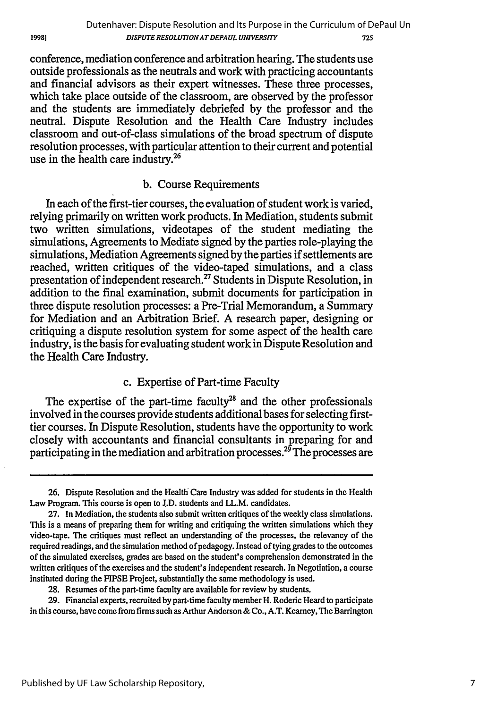conference, mediation conference and arbitration hearing. The students use outside professionals as the neutrals and work with practicing accountants and financial advisors as their expert witnesses. These three processes, which take place outside of the classroom, are observed by the professor and the students are immediately debriefed by the professor and the neutral. Dispute Resolution and the Health Care Industry includes classroom and out-of-class simulations of the broad spectrum of dispute resolution processes, with particular attention to their current and potential use in the health care industry.<sup>26</sup>

### b. Course Requirements

In each of the first-tier courses, the evaluation of student work is varied, relying primarily on written work products. In Mediation, students submit two written simulations, videotapes of the student mediating the simulations, Agreements to Mediate signed by the parties role-playing the simulations, Mediation Agreements signed by the parties if settlements are reached, written critiques of the video-taped simulations, and a class presentation of independent research.27 Students in Dispute Resolution, in addition to the final examination, submit documents for participation in three dispute resolution processes: a Pre-Trial Memorandum, a Summary for Mediation and an Arbitration Brief. A research paper, designing or critiquing a dispute resolution system for some aspect of the health care industry, is the basis for evaluating student work in Dispute Resolution and the Health Care Industry.

### c. Expertise of Part-time Faculty

The expertise of the part-time faculty<sup>28</sup> and the other professionals involved in the courses provide students additional bases for selecting firsttier courses. In Dispute Resolution, students have the opportunity to work closely with accountants and financial consultants in preparing for and participating in the mediation and arbitration processes.<sup>29</sup> The processes are

**29.** Financial experts, recruited by part-time faculty member H. Roderic Heard to participate in this course, have come from firms such as Arthur Anderson & Co., A.T. Kearney, The Barrington

1998)

**<sup>26.</sup>** Dispute Resolution and the Health Care Industry was added for students in the Health Law Program. This course is open to J.D. students and LL.M. candidates.

**<sup>27.</sup>** In Mediation, the students also submit written critiques of the weekly class simulations. This is a means of preparing them for writing and critiquing the written simulations which they video-tape. The critiques must reflect an understanding of the processes, the relevancy of the required readings, and the simulation method of pedagogy. Instead of tying grades to the outcomes of the simulated exercises, grades are based on the student's comprehension demonstrated in the written critiques of the exercises and the student's independent research. In Negotiation, a course instituted during the FIPSE Project, substantially the same methodology is used.

<sup>28.</sup> Resumes of the part-time faculty are available for review by students.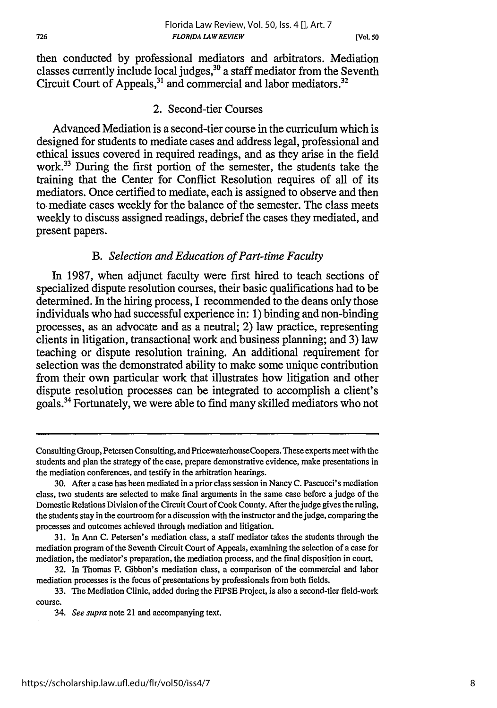https://scholarship.law.ufl.edu/flr/vol50/iss4/7

#### *FLORIDA LAW REVIEW* Florida Law Review, Vol. 50, Iss. 4 [], Art. 7

*[Vol. 50*

then conducted by professional mediators and arbitrators. Mediation classes currently include local judges,<sup>30</sup> a staff mediator from the Seventh Circuit Court of Appeals,<sup>31</sup> and commercial and labor mediators.<sup>32</sup>

### 2. Second-tier Courses

Advanced Mediation is a second-tier course in the curriculum which is designed for students to mediate cases and address legal, professional and ethical issues covered in required readings, and as they arise in the field work.<sup>33</sup> During the first portion of the semester, the students take the training that the Center for Conflict Resolution requires of all of its mediators. Once certified to mediate, each is assigned to observe and then to mediate cases weekly for the balance of the semester. The class meets weekly to discuss assigned readings, debrief the cases they mediated, and present papers.

### *B. Selection and Education of Part-time Faculty*

In 1987, when adjunct faculty were first hired to teach sections of specialized dispute resolution courses, their basic qualifications had to be determined. In the hiring process, I recommended to the deans only those individuals who had successful experience in: 1) binding and non-binding processes, as an advocate and as a neutral; 2) law practice, representing clients in litigation, transactional work and business planning; and 3) law teaching or dispute resolution training. An additional requirement for selection was the demonstrated ability to make some unique contribution from their own particular work that illustrates how litigation and other dispute resolution processes can be integrated to accomplish a client's goals.34 Fortunately, we were able to find many skilled mediators who not

Consulting Group, Petersen Consulting, and PricewaterhouseCoopers. These experts meet with the students and plan the strategy of the case, prepare demonstrative evidence, make presentations in the mediation conferences, and testify in the arbitration hearings.

<sup>30.</sup> After a case has been mediated in a prior class session in Nancy C. Pascucci's mediation class, two students are selected to make final arguments in the same case before a judge of the Domestic Relations Division of the Circuit Court of Cook County. After the judge gives the ruling, the students stay in the courtroom for a discussion with the instructor and the judge, comparing the processes and outcomes achieved through mediation and litigation.

<sup>31.</sup> In Ann C. Petersen's mediation class, a staff mediator takes the students through the mediation program of the Seventh Circuit Court of Appeals, examining the selection of a ease for mediation, the mediator's preparation, the mediation process, and the final disposition in court.

<sup>32.</sup> In Thomas F. Gibbon's mediation class, a comparison of the commercial and labor mediation processes is the focus of presentations by professionals from both fields.

<sup>33.</sup> The Mediation Clinic, added during the FIPSE Project, is also a second-tier field-work course.

<sup>34.</sup> *See supra* note 21 and accompanying text.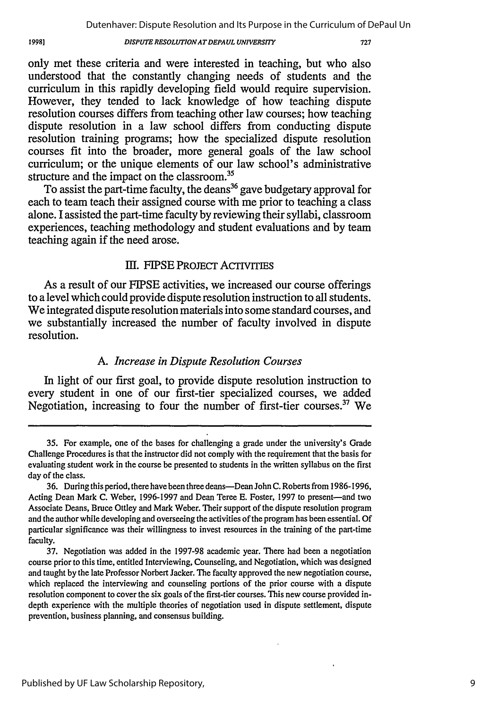19981

#### **DISPUTE RESOLUTION AT DEPAUL UNIVERSITY**

only met these criteria and were interested in teaching, but who also understood that the constantly changing needs of students and the curriculum in this rapidly developing field would require supervision. However, they tended to lack knowledge of how teaching dispute resolution courses differs from teaching other law courses; how teaching dispute resolution in a law school differs from conducting dispute resolution training programs; how the specialized dispute resolution courses fit into the broader, more general goals of the law school curriculum; or the unique elements of our law school's administrative structure and the impact on the classroom.<sup>35</sup>

To assist the part-time faculty, the deans<sup>36</sup> gave budgetary approval for each to team teach their assigned course with me prior to teaching a class alone. I assisted the part-time faculty by reviewing their syllabi, classroom experiences, teaching methodology and student evaluations and by team teaching again if the need arose.

### **III.** FIPSE PRoJECT AcTivrrIEs

As a result of our FIPSE activities, we increased our course offerings to a level which could provide dispute resolution instruction to all students. We integrated dispute resolution materials into some standard courses, and we substantially increased the number of faculty involved in dispute resolution.

### *A. Increase in Dispute Resolution Courses*

In light of our first goal, to provide dispute resolution instruction to every student in one of our first-tier specialized courses, we added Negotiation, increasing to four the number of first-tier courses.<sup>37</sup> We

<sup>35.</sup> For example, one of the bases for challenging a grade under the university's Grade Challenge Procedures is that the instructor did not comply with the requirement that the basis for evaluating student work in the course be presented to students in the written syllabus on the first day of the class.

<sup>36.</sup> During this period, there have been three deans-Dean John C. Roberts from 1986-1996, Acting Dean Mark C. Weber, 1996-1997 and Dean Teree E. Foster, 1997 to present-and two Associate Deans, Bruce Ottley and Mark Weber. Their support of the dispute resolution program and the author while developing and overseeing the activities of the program has been essential. Of particular significance was their willingness to invest resources in the training of the part-time faculty.

<sup>37.</sup> Negotiation was added in the 1997-98 academic year. There had been a negotiation course prior to this time, entitled Interviewing, Counseling, and Negotiation, which was designed and taught by the late Professor Norbert Jacker. The faculty approved the new negotiation course, which replaced the interviewing and counseling portions of the prior course with a dispute resolution component to cover the six goals of the first-tier courses. This new course provided indepth experience with the multiple theories of negotiation used in dispute settlement, dispute prevention, business planning, and consensus building.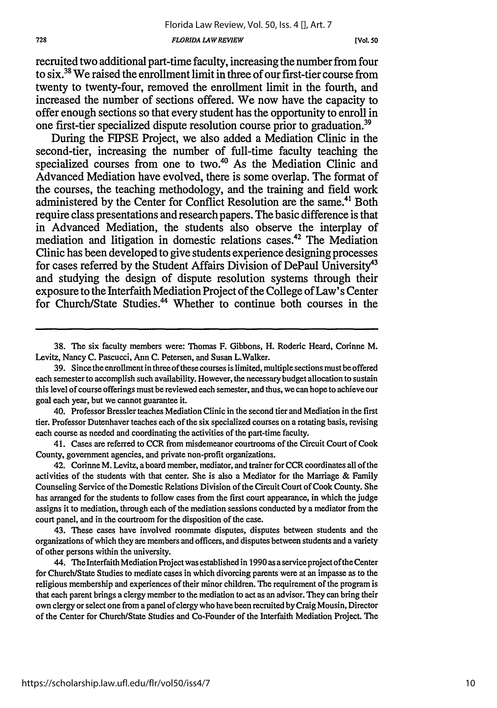**[Vol. so**

recruited two additional part-time faculty, increasing the number from four to six.38 We raised the enrollment limit in three of our first-tier course from twenty to twenty-four, removed the enrollment limit in the fourth, and increased the number of sections offered. We now have the capacity to offer enough sections so that every student has the opportunity to enroll in one first-tier specialized dispute resolution course prior to graduation.<sup>39</sup>

During the FIPSE Project, we also added a Mediation Clinic in the second-tier, increasing the number of full-time faculty teaching the specialized courses from one to two.<sup>40</sup> As the Mediation Clinic and Advanced Mediation have evolved, there is some overlap. The format of the courses, the teaching methodology, and the training and field work administered by the Center for Conflict Resolution are the same.<sup>41</sup> Both require class presentations and research papers. The basic difference is that in Advanced Mediation, the students also observe the interplay of mediation and litigation in domestic relations cases.42 The Mediation Clinic has been developed to give students experience designing processes for cases referred by the Student Affairs Division of DePaul University<sup>43</sup> and studying the design of dispute resolution systems through their exposure to the Interfaith Mediation Project of the College of Law's Center for Church/State Studies.<sup>44</sup> Whether to continue both courses in the

40. Professor Bressler teaches Mediation Clinic in the second tier and Mediation in the first tier. Professor Dutenhaver teaches each of the six specialized courses on a rotating basis, revising each course as needed and coordinating the activities of the part-time faculty.

41. Cases are referred to CCR from misdemeanor courtrooms of the Circuit Court of Cook County, government agencies, and private non-profit organizations.

42. Corinne M. Levitz, a board member, mediator, and trainer for CCR coordinates all of the activities of the students with that center. She is also a Mediator for the Marriage & Family Counseling Service of the Domestic Relations Division of the Circuit Court of Cook County. She has arranged for the students to follow cases from the first court appearance, in which the judge assigns it to mediation, through each of the mediation sessions conducted by a mediator from the court panel, and in the courtroom for the disposition of the case.

43. These cases have involved roommate disputes, disputes between students and the organizations of which they are members and officers, and disputes between students and a variety of other persons within the university.

44. The Interfaith Mediation Project was established in 1990 as a service project of the Center for Church/State Studies to mediate cases in which divorcing parents were at an impasse as to the religious membership and experiences of their minor children. The requirement of the program is that each parent brings a clergy member to the mediation to act as an advisor. They can bring their own clergy or select one from a panel of clergy who have been recruited by Craig Mousin, Director of the Center for Church/State Studies and Co-Founder of the Interfaith Mediation Project. The

<sup>38.</sup> The six faculty members were: Thomas F. Gibbons, H. Roderic Heard, Corinne M. Levitz, Nancy C. Pascucci, Ann C. Petersen, and Susan L.Walker.

<sup>39.</sup> Since the enrollment in three ofthese courses is limited, multiple sections must be offered each semester to accomplish such availability. However, the necessary budget allocation to sustain this level of course offerings must be reviewed each semester, and thus, we can hope to achieve our goal each year, but we cannot guarantee it.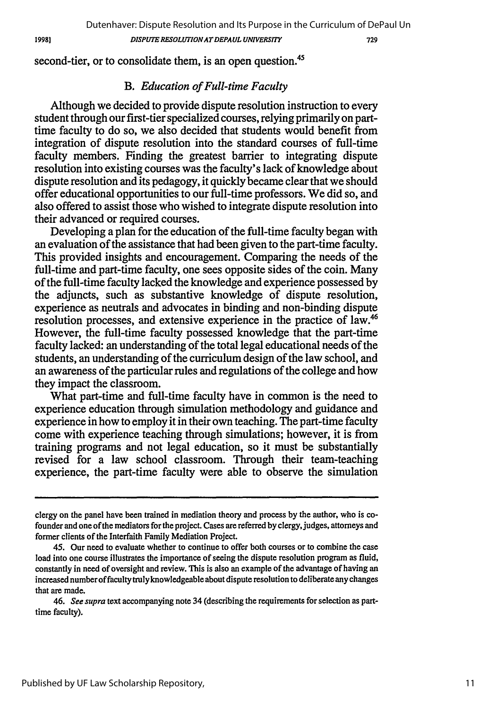1998]

*DISPUTE RESOLUTIONATDEPAUL UNIVERSITY*

729

second-tier, or to consolidate them, is an open question.<sup>45</sup>

### *B. Education of Full-time Faculty*

Although we decided to provide dispute resolution instruction to every student through our first-tier specialized courses, relying primarily on parttime faculty to do so, we also decided that students would benefit from integration of dispute resolution into the standard courses of full-time faculty members. Finding the greatest barrier to integrating dispute resolution into existing courses was the faculty's lack of knowledge about dispute resolution and its pedagogy, it quickly became clear that we should offer educational opportunities to our full-time professors. We did so, and also offered to assist those who wished to integrate dispute resolution into their advanced or required courses.

Developing a plan for the education of the full-time faculty began with an evaluation of the assistance that had been given to the part-time faculty. This provided insights and encouragement. Comparing the needs of the full-time and part-time faculty, one sees opposite sides of the coin. Many of the full-time faculty lacked the knowledge and experience possessed by the adjuncts, such as substantive knowledge of dispute resolution, experience as neutrals and advocates in binding and non-binding dispute resolution processes, and extensive experience in the practice of law.46 However, the full-time faculty possessed knowledge that the part-time faculty lacked: an understanding of the total legal educational needs of the students, an understanding of the curriculum design of the law school, and an awareness of the particular rules and regulations of the college and how they impact the classroom.

What part-time and full-time faculty have in common is the need to experience education through simulation methodology and guidance and experience in how to employ it in their own teaching. The part-time faculty come with experience teaching through simulations; however, it is from training programs and not legal education, so it must be substantially revised for a law school classroom. Through their team-teaching experience, the part-time faculty were able to observe the simulation

clergy on the panel have been trained in mediation theory and process **by** the author, who is cofounder and one of the mediators for the project. Cases are referred by clergy, judges, attorneys and former clients of the Interfaith Family Mediation Project.

<sup>45.</sup> Our need to evaluate whether to continue to offer both courses or to combine the case load into one course illustrates the importance of seeing the dispute resolution program as fluid, constantly in need of oversight and review. This is also an example of the advantage of having an increased number of faculty truly knowledgeable about dispute resolution to deliberate any changes that are made.

<sup>46.</sup> See supra text accompanying note 34 (describing the requirements for selection as parttime faculty).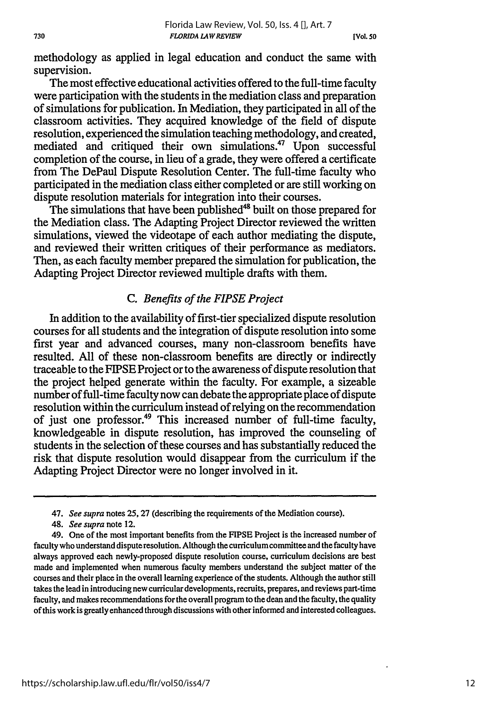methodology as applied in legal education and conduct the same with supervision.

The most effective educational activities offered to the full-time faculty were participation with the students in the mediation class and preparation of simulations for publication. In Mediation, they participated in all of the classroom activities. They acquired knowledge of the field of dispute resolution, experienced the simulation teaching methodology, and created, mediated and critiqued their own simulations.<sup>47</sup> Upon successful completion of the course, in lieu of a grade, they were offered a certificate from The DePaul Dispute Resolution Center. The full-time faculty who participated in the mediation class either completed or are still working on dispute resolution materials for integration into their courses.

The simulations that have been published<sup>48</sup> built on those prepared for the Mediation class. The Adapting Project Director reviewed the written simulations, viewed the videotape of each author mediating the dispute, and reviewed their written critiques of their performance as mediators. Then, as each faculty member prepared the simulation for publication, the Adapting Project Director reviewed multiple drafts with them.

### *C. Benefits of the FIPSE Project*

In addition to the availability of first-tier specialized dispute resolution courses for all students and the integration of dispute resolution into some first year and advanced courses, many non-classroom benefits have resulted. All of these non-classroom benefits are directly or indirectly traceable to the FIPSE Project or to the awareness of dispute resolution that the project helped generate within the faculty. For example, a sizeable number of full-time faculty now can debate the appropriate place of dispute resolution within the curriculum instead of relying on the recommendation of just one professor.<sup>49</sup> This increased number of full-time faculty, knowledgeable in dispute resolution, has improved the counseling of students in the selection of these courses and has substantially reduced the risk that dispute resolution would disappear from the curriculum if the Adapting Project Director were no longer involved in it.

<sup>47.</sup> *See supra* notes 25,27 (describing the requirements of the Mediation course).

<sup>48.</sup> *See supra* note 12.

<sup>49.</sup> One of the most important benefits from the **FIPSE** Project is the increased number of faculty who understand dispute resolution. Although the curriculum committee and the faculty have always approved each newly-proposed dispute resolution course, curriculum decisions are best made and implemented when numerous faculty members understand the subject matter of the courses and their place in the overall learning experience of the students. Although the author still takes the lead in introducing new curricular developments, recruits, prepares, and reviews part-time faculty, and makes recommendations for the overall program to the dean and the faculty, the quality of this work is greatly enhanced through discussions with other informed and interested colleagues.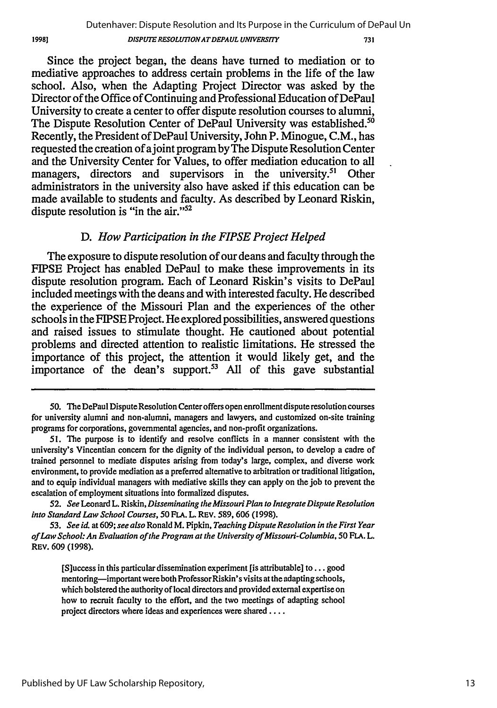19981

#### *DISPUTERESOLUTIONATDEPAUL UNIVERSITY*

731

Since the project began, the deans have turned to mediation or to mediative approaches to address certain problems in the life of the law school. Also, when the Adapting Project Director was asked by the Director of the Office of Continuing and Professional Education of DePaul University to create a center to offer dispute resolution courses to alumni, The Dispute Resolution Center of DePaul University was established.<sup>50</sup> Recently, the President of DePaul University, John P. Minogue, C.M., has requested the creation of ajoint program by The Dispute Resolution Center and the University Center for Values, to offer mediation education to all managers, directors and supervisors in the university.<sup>51</sup> Other administrators in the university also have asked if this education can be made available to students and faculty. As described by Leonard Riskin, dispute resolution is "in the air." $52$ 

### *D. How Participation in the FIPSE Project Helped*

The exposure to dispute resolution of our deans and faculty through the FIPSE Project has enabled DePaul to make these improvements in its dispute resolution program. Each of Leonard Riskin's visits to DePaul included meetings with the deans and with interested faculty. He described the experience of the Missouri Plan and the experiences of the other schools in the FIPSE Project. He explored possibilities, answered questions and raised issues to stimulate thought. He cautioned about potential problems and directed attention to realistic limitations. He stressed the importance of this project, the attention it would likely get, and the importance of the dean's support.<sup>53</sup> All of this gave substantial

<sup>50.</sup> The DePaul Dispute Resolution Center offers open enrollment dispute resolution courses for university alumni and non-alumni, managers and lawyers, and customized on-site training programs for corporations, governmental agencies, and non-profit organizations.

**<sup>51.</sup>** The purpose is to identify and resolve conflicts in a manner consistent with the university's Vincentian concern for the dignity of the individual person, to develop a cadre of trained personnel to mediate disputes arising from today's large, complex, and diverse work environment, to provide mediation as a preferred alternative to arbitration or traditional litigation, and to equip individual managers with mediative skills they can apply on the job to prevent the escalation of employment situations into formalized disputes.

<sup>52.</sup> *See* Leonard L. Riskin, *Disseminating the Missouri Plan to Integrate Dispute Resolution into Standard Law School Courses, 50* FLA. L. REV. 589, 606 (1998).

*<sup>53.</sup> See id.* at 609; *see also* Ronald M. Pipkin, *Teaching Dispute Resolution in the First Year of Law School: An Evaluation of the Program at the University of Missouri-Columbia, 50* FLA. L. REV. 609 (1998).

<sup>[</sup>S]uccess in this particular dissemination experiment [is attributable] to **...** good mentoring—important were both Professor Riskin's visits at the adapting schools, which bolstered the authority of local directors and provided external expertise on how to recruit faculty to the effort, and the two meetings of adapting school project directors where ideas and experiences were shared ....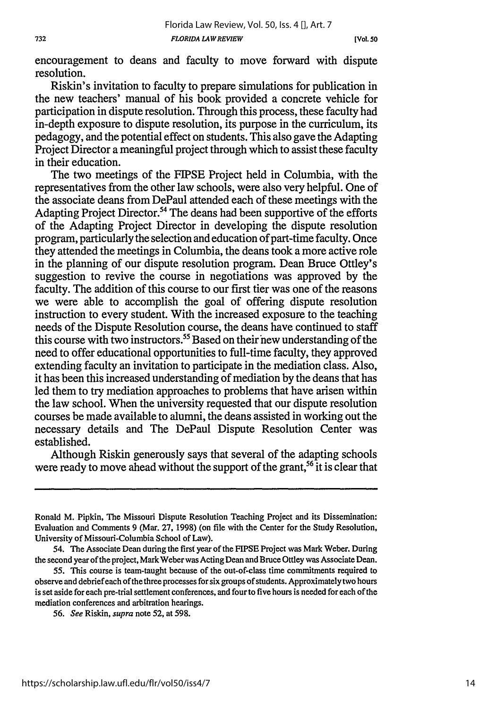**[Vol. so**

encouragement to deans and faculty to move forward with dispute resolution.

Riskin's invitation to faculty to prepare simulations for publication in the new teachers' manual of his book provided a concrete vehicle for participation in dispute resolution. Through this process, these faculty had in-depth exposure to dispute resolution, its purpose in the curriculum, its pedagogy, and the potential effect on students. This also gave the Adapting Project Director a meaningful project through which to assist these faculty in their education.

The two meetings of the FIPSE Project held in Columbia, with the representatives from the other law schools, were also very helpful. One of the associate deans from DePaul attended each of these meetings with the Adapting Project Director.<sup>54</sup> The deans had been supportive of the efforts of the Adapting Project Director in developing the dispute resolution program, particularly the selection and education of part-time faculty. Once they attended the meetings in Columbia, the deans took a more active role in the planning of our dispute resolution program. Dean Bruce Ottley's suggestion to revive the course in negotiations was approved by the faculty. The addition of this course to our first tier was one of the reasons we were able to accomplish the goal of offering dispute resolution instruction to every student. With the increased exposure to the teaching needs of the Dispute Resolution course, the deans have continued to staff this course with two instructors.<sup>55</sup> Based on their new understanding of the need to offer educational opportunities to full-time faculty, they approved extending faculty an invitation to participate in the mediation class. Also, it has been this increased understanding of mediation by the deans that has led them to try mediation approaches to problems that have arisen within the law school. When the university requested that our dispute resolution courses be made available to alumni, the deans assisted in working out the necessary details and The DePaul Dispute Resolution Center was established.

Although Riskin generously says that several of the adapting schools were ready to move ahead without the support of the grant,<sup>56</sup> it is clear that

Ronald M. Pipkin, The Missouri Dispute Resolution Teaching Project and its Dissemination: Evaluation and Comments 9 (Mar. 27, 1998) (on file with the Center for the Study Resolution, University of Missouri-Columbia School of Law).

<sup>54.</sup> The Associate Dean during the first year of the FIPSE Project was Mark Weber. During the second year of the project, Mark Weber was Acting Dean and Bruce Ottley was Associate Dean.

<sup>55.</sup> This course is team-taught because of the out-of-class time commitments required to observe and debrief each of the three processes for six groups of students. Approximately two hours is set aside for each pre-trial settlement conferences, and four to five hours is needed for each of the mediation conferences and arbitration hearings.

<sup>56.</sup> *See* Riskin, *supra* note 52, at 598.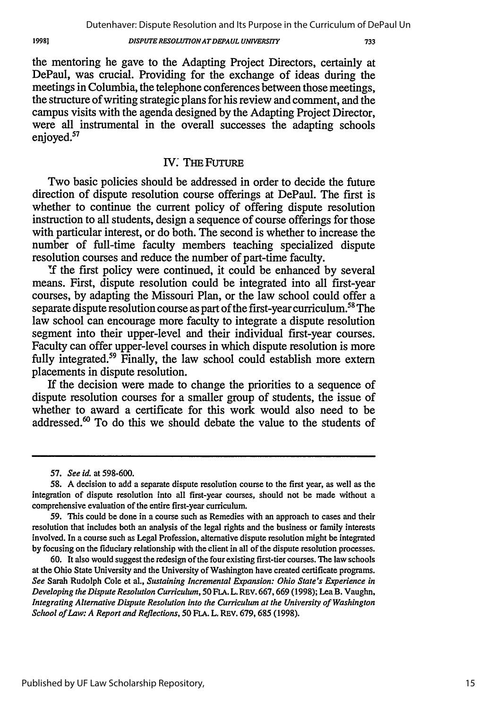#### *DISPUTE RESOLUTIONATDEPAUL UNIVERSITY*

733

the mentoring he gave to the Adapting Project Directors, certainly at DePaul, was crucial. Providing for the exchange of ideas during the meetings in Columbia, the telephone conferences between those meetings, the structure of writing strategic plans for his review and comment, and the campus visits with the agenda designed by the Adapting Project Director, were all instrumental in the overall successes the adapting schools enjoyed.<sup>57</sup>

### IV. THE FUTURE

Two basic policies should be addressed in order to decide the future direction of dispute resolution course offerings at DePaul. The first is whether to continue the current policy of offering dispute resolution instruction to all students, design a sequence of course offerings for those with particular interest, or do both. The second is whether to increase the number of full-time faculty members teaching specialized dispute resolution courses and reduce the number of part-time faculty.

If the first policy were continued, it could be enhanced by several means. First, dispute resolution could be integrated into all first-year courses, by adapting the Missouri Plan, or the law school could offer a separate dispute resolution course as part of the first-year curriculum.<sup>58</sup> The law school can encourage more faculty to integrate a dispute resolution segment into their upper-level and their individual first-year courses. Faculty can offer upper-level courses in which dispute resolution is more fully integrated.<sup>59</sup> Finally, the law school could establish more extern placements in dispute resolution.

If the decision were made to change the priorities to a sequence of dispute resolution courses for a smaller group of students, the issue of whether to award a certificate for this work would also need to be addressed. $60$  To do this we should debate the value to the students of

60. It also would suggest the redesign of the four existing first-tier courses. The law schools at the Ohio State University and the University of Washington have created certificate programs. *See* Sarah Rudolph Cole et al., *Sustaining Incremental Expansion: Ohio State's Experience in Developing the Dispute Resolution Curriculum, 50* **FLA.** L. **REV.** 667,669 (1998); Lea B. Vaughn, *Integrating Alternative Dispute Resolution into the Curriculum at the University of Washington School of Law: A Report and Reflections, 50* **FLA.** L. **REV.** 679, 685 (1998).

19981

*<sup>57.</sup> See id.* at 598-600.

**<sup>58.</sup>** A decision to add a separate dispute resolution course to the first year, as well as the integration of dispute resolution into all first-year courses, should not be made without a comprehensive evaluation of the entire first-year curriculum.

<sup>59.</sup> This could be done in a course such as Remedies with an approach to cases and their resolution that includes both an analysis of the legal rights and the business or family interests involved. In a course such as Legal Profession, alternative dispute resolution might be integrated **by** focusing on the fiduciary relationship with the client in all of the dispute resolution processes.